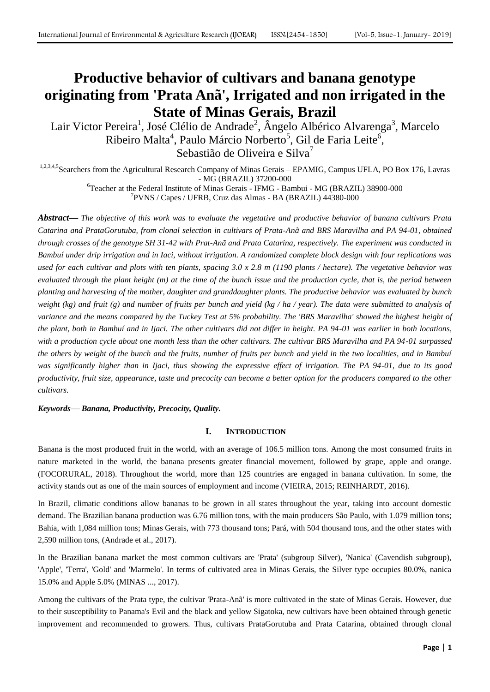# **Productive behavior of cultivars and banana genotype originating from 'Prata Anã', Irrigated and non irrigated in the State of Minas Gerais, Brazil**

Lair Victor Pereira<sup>1</sup>, José Clélio de Andrade<sup>2</sup>, Ângelo Albérico Alvarenga<sup>3</sup>, Marcelo Ribeiro Malta<sup>4</sup>, Paulo Márcio Norberto<sup>5</sup>, Gil de Faria Leite<sup>6</sup>, Sebastião de Oliveira e Silva<sup>7</sup>

1,2,3,4,5 Searchers from the Agricultural Research Company of Minas Gerais – EPAMIG, Campus UFLA, PO Box 176, Lavras - MG (BRAZIL) 37200-000

6 Teacher at the Federal Institute of Minas Gerais - IFMG - Bambui - MG (BRAZIL) 38900-000

7 PVNS / Capes / UFRB, Cruz das Almas - BA (BRAZIL) 44380-000

*Abstract***—** *The objective of this work was to evaluate the vegetative and productive behavior of banana cultivars Prata Catarina and PrataGorutuba, from clonal selection in cultivars of Prata-Anã and BRS Maravilha and PA 94-01, obtained through crosses of the genotype SH 31-42 with Prat-Anã and Prata Catarina, respectively. The experiment was conducted in Bambuí under drip irrigation and in Iaci, without irrigation. A randomized complete block design with four replications was used for each cultivar and plots with ten plants, spacing 3.0 x 2.8 m (1190 plants / hectare). The vegetative behavior was evaluated through the plant height (m) at the time of the bunch issue and the production cycle, that is, the period between planting and harvesting of the mother, daughter and granddaughter plants. The productive behavior was evaluated by bunch weight (kg) and fruit (g) and number of fruits per bunch and yield (kg / ha / year). The data were submitted to analysis of variance and the means compared by the Tuckey Test at 5% probability. The 'BRS Maravilha' showed the highest height of the plant, both in Bambuí and in Ijaci. The other cultivars did not differ in height. PA 94-01 was earlier in both locations, with a production cycle about one month less than the other cultivars. The cultivar BRS Maravilha and PA 94-01 surpassed the others by weight of the bunch and the fruits, number of fruits per bunch and yield in the two localities, and in Bambuí was significantly higher than in Ijaci, thus showing the expressive effect of irrigation. The PA 94-01, due to its good productivity, fruit size, appearance, taste and precocity can become a better option for the producers compared to the other cultivars.*

*Keywords***—** *Banana, Productivity, Precocity, Quality.*

#### **I. INTRODUCTION**

Banana is the most produced fruit in the world, with an average of 106.5 million tons. Among the most consumed fruits in nature marketed in the world, the banana presents greater financial movement, followed by grape, apple and orange. (FOCORURAL, 2018). Throughout the world, more than 125 countries are engaged in banana cultivation. In some, the activity stands out as one of the main sources of employment and income (VIEIRA, 2015; REINHARDT, 2016).

In Brazil, climatic conditions allow bananas to be grown in all states throughout the year, taking into account domestic demand. The Brazilian banana production was 6.76 million tons, with the main producers São Paulo, with 1.079 million tons; Bahia, with 1,084 million tons; Minas Gerais, with 773 thousand tons; Pará, with 504 thousand tons, and the other states with 2,590 million tons, (Andrade et al., 2017).

In the Brazilian banana market the most common cultivars are 'Prata' (subgroup Silver), 'Nanica' (Cavendish subgroup), 'Apple', 'Terra', 'Gold' and 'Marmelo'. In terms of cultivated area in Minas Gerais, the Silver type occupies 80.0%, nanica 15.0% and Apple 5.0% (MINAS ..., 2017).

Among the cultivars of the Prata type, the cultivar 'Prata-Anã' is more cultivated in the state of Minas Gerais. However, due to their susceptibility to Panama's Evil and the black and yellow Sigatoka, new cultivars have been obtained through genetic improvement and recommended to growers. Thus, cultivars PrataGorutuba and Prata Catarina, obtained through clonal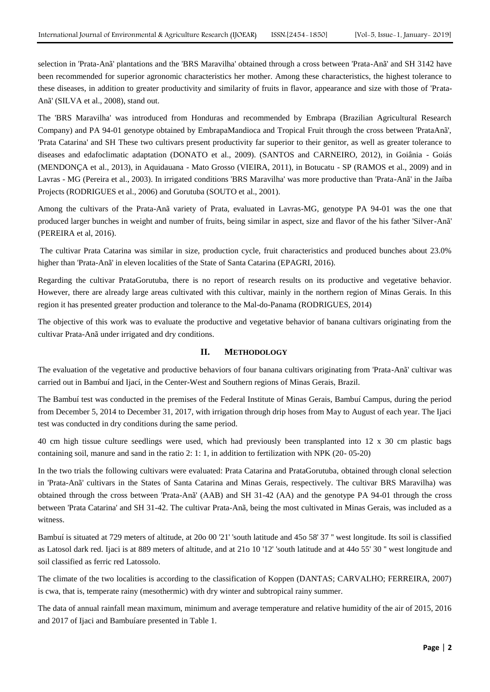selection in 'Prata-Anã' plantations and the 'BRS Maravilha' obtained through a cross between 'Prata-Anã' and SH 3142 have been recommended for superior agronomic characteristics her mother. Among these characteristics, the highest tolerance to these diseases, in addition to greater productivity and similarity of fruits in flavor, appearance and size with those of 'Prata-Anã' (SILVA et al., 2008), stand out.

The 'BRS Maravilha' was introduced from Honduras and recommended by Embrapa (Brazilian Agricultural Research Company) and PA 94-01 genotype obtained by EmbrapaMandioca and Tropical Fruit through the cross between 'PrataAnã', 'Prata Catarina' and SH These two cultivars present productivity far superior to their genitor, as well as greater tolerance to diseases and edafoclimatic adaptation (DONATO et al., 2009). (SANTOS and CARNEIRO, 2012), in Goiânia - Goiás (MENDONÇA et al., 2013), in Aquidauana - Mato Grosso (VIEIRA, 2011), in Botucatu - SP (RAMOS et al., 2009) and in Lavras - MG (Pereira et al., 2003). In irrigated conditions 'BRS Maravilha' was more productive than 'Prata-Anã' in the Jaíba Projects (RODRIGUES et al., 2006) and Gorutuba (SOUTO et al., 2001).

Among the cultivars of the Prata-Anã variety of Prata, evaluated in Lavras-MG, genotype PA 94-01 was the one that produced larger bunches in weight and number of fruits, being similar in aspect, size and flavor of the his father 'Silver-Anã' (PEREIRA et al, 2016).

The cultivar Prata Catarina was similar in size, production cycle, fruit characteristics and produced bunches about 23.0% higher than 'Prata-Anã' in eleven localities of the State of Santa Catarina (EPAGRI, 2016).

Regarding the cultivar PrataGorutuba, there is no report of research results on its productive and vegetative behavior. However, there are already large areas cultivated with this cultivar, mainly in the northern region of Minas Gerais. In this region it has presented greater production and tolerance to the Mal-do-Panama (RODRIGUES, 2014)

The objective of this work was to evaluate the productive and vegetative behavior of banana cultivars originating from the cultivar Prata-Anã under irrigated and dry conditions.

#### **II. METHODOLOGY**

The evaluation of the vegetative and productive behaviors of four banana cultivars originating from 'Prata-Anã' cultivar was carried out in Bambuí and Ijací, in the Center-West and Southern regions of Minas Gerais, Brazil.

The Bambuí test was conducted in the premises of the Federal Institute of Minas Gerais, Bambuí Campus, during the period from December 5, 2014 to December 31, 2017, with irrigation through drip hoses from May to August of each year. The Ijaci test was conducted in dry conditions during the same period.

40 cm high tissue culture seedlings were used, which had previously been transplanted into 12 x 30 cm plastic bags containing soil, manure and sand in the ratio 2: 1: 1, in addition to fertilization with NPK (20- 05-20)

In the two trials the following cultivars were evaluated: Prata Catarina and PrataGorutuba, obtained through clonal selection in 'Prata-Anã' cultivars in the States of Santa Catarina and Minas Gerais, respectively. The cultivar BRS Maravilha) was obtained through the cross between 'Prata-Anã' (AAB) and SH 31-42 (AA) and the genotype PA 94-01 through the cross between 'Prata Catarina' and SH 31-42. The cultivar Prata-Anã, being the most cultivated in Minas Gerais, was included as a witness.

Bambuí is situated at 729 meters of altitude, at 20o 00 '21' 'south latitude and 45o 58' 37 '' west longitude. Its soil is classified as Latosol dark red. Ijaci is at 889 meters of altitude, and at 21o 10 '12' 'south latitude and at 44o 55' 30 '' west longitude and soil classified as ferric red Latossolo.

The climate of the two localities is according to the classification of Koppen (DANTAS; CARVALHO; FERREIRA, 2007) is cwa, that is, temperate rainy (mesothermic) with dry winter and subtropical rainy summer.

The data of annual rainfall mean maximum, minimum and average temperature and relative humidity of the air of 2015, 2016 and 2017 of Ijaci and Bambuíare presented in Table 1.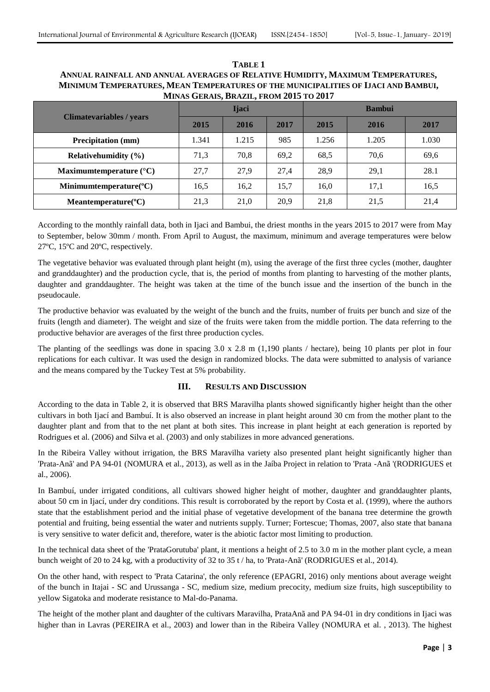# **MINAS GERAIS, BRAZIL, FROM 2015 TO 2017 Climatevariables / years Ijaci Bambui 2015 2016 2017 2015 2016 2017 Precipitation (mm)** 1.341 1.215 985 1.256 1.205 1.030 **Relativehumidity (%)** 71,3 70,8 69,2 68,5 70,6 69,6 **Maximumtemperature** (°C) 27,7 27,9 27,4 28,9 29,1 28.1 **Minimumtemperature(°C)** 16,5 16,2 15,7 16,0 17,1 16,5

**TABLE 1 ANNUAL RAINFALL AND ANNUAL AVERAGES OF RELATIVE HUMIDITY, MAXIMUM TEMPERATURES, MINIMUM TEMPERATURES, MEAN TEMPERATURES OF THE MUNICIPALITIES OF IJACI AND BAMBUI,**

According to the monthly rainfall data, both in Ijaci and Bambui, the driest months in the years 2015 to 2017 were from May to September, below 30mm / month. From April to August, the maximum, minimum and average temperatures were below 27ºC, 15ºC and 20ºC, respectively.

**Meantemperature(°C)** 21,3 21,0 20,9 21,8 21,5 21,4

The vegetative behavior was evaluated through plant height (m), using the average of the first three cycles (mother, daughter and granddaughter) and the production cycle, that is, the period of months from planting to harvesting of the mother plants, daughter and granddaughter. The height was taken at the time of the bunch issue and the insertion of the bunch in the pseudocaule.

The productive behavior was evaluated by the weight of the bunch and the fruits, number of fruits per bunch and size of the fruits (length and diameter). The weight and size of the fruits were taken from the middle portion. The data referring to the productive behavior are averages of the first three production cycles.

The planting of the seedlings was done in spacing  $3.0 \times 2.8$  m  $(1,190)$  plants / hectare), being 10 plants per plot in four replications for each cultivar. It was used the design in randomized blocks. The data were submitted to analysis of variance and the means compared by the Tuckey Test at 5% probability.

#### **III. RESULTS AND DISCUSSION**

According to the data in Table 2, it is observed that BRS Maravilha plants showed significantly higher height than the other cultivars in both Ijací and Bambuí. It is also observed an increase in plant height around 30 cm from the mother plant to the daughter plant and from that to the net plant at both sites. This increase in plant height at each generation is reported by Rodrigues et al. (2006) and Silva et al. (2003) and only stabilizes in more advanced generations.

In the Ribeira Valley without irrigation, the BRS Maravilha variety also presented plant height significantly higher than 'Prata-Anã' and PA 94-01 (NOMURA et al., 2013), as well as in the Jaíba Project in relation to 'Prata -Anã '(RODRIGUES et al., 2006).

In Bambuí, under irrigated conditions, all cultivars showed higher height of mother, daughter and granddaughter plants, about 50 cm in Ijací, under dry conditions. This result is corroborated by the report by Costa et al. (1999), where the authors state that the establishment period and the initial phase of vegetative development of the banana tree determine the growth potential and fruiting, being essential the water and nutrients supply. Turner; Fortescue; Thomas, 2007, also state that banana is very sensitive to water deficit and, therefore, water is the abiotic factor most limiting to production.

In the technical data sheet of the 'PrataGorutuba' plant, it mentions a height of 2.5 to 3.0 m in the mother plant cycle, a mean bunch weight of 20 to 24 kg, with a productivity of 32 to 35 t / ha, to 'Prata-Anã' (RODRIGUES et al., 2014).

On the other hand, with respect to 'Prata Catarina', the only reference (EPAGRI, 2016) only mentions about average weight of the bunch in Itajai - SC and Urussanga - SC, medium size, medium precocity, medium size fruits, high susceptibility to yellow Sigatoka and moderate resistance to Mal-do-Panama.

The height of the mother plant and daughter of the cultivars Maravilha, PrataAnã and PA 94-01 in dry conditions in Ijaci was higher than in Lavras (PEREIRA et al., 2003) and lower than in the Ribeira Valley (NOMURA et al. , 2013). The highest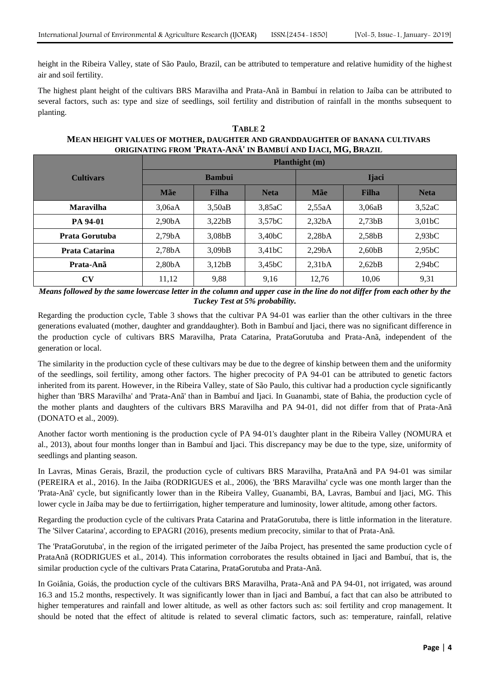height in the Ribeira Valley, state of São Paulo, Brazil, can be attributed to temperature and relative humidity of the highest air and soil fertility.

The highest plant height of the cultivars BRS Maravilha and Prata-Anã in Bambuí in relation to Jaíba can be attributed to several factors, such as: type and size of seedlings, soil fertility and distribution of rainfall in the months subsequent to planting.

### **TABLE 2 MEAN HEIGHT VALUES OF MOTHER, DAUGHTER AND GRANDDAUGHTER OF BANANA CULTIVARS ORIGINATING FROM 'PRATA-ANÃ' IN BAMBUÍ AND IJACI, MG, BRAZIL**

|                  | <b>Planthight</b> (m) |                     |                     |                     |        |                     |  |
|------------------|-----------------------|---------------------|---------------------|---------------------|--------|---------------------|--|
| <b>Cultivars</b> |                       | <b>Bambui</b>       |                     | <b>I</b> jaci       |        |                     |  |
|                  | Mãe                   | Filha               | <b>Neta</b>         | Mãe                 | Filha  | <b>Neta</b>         |  |
| <b>Maravilha</b> | 3,06aA                | 3,50aB              | 3,85aC              | 2,55aA              | 3.06aB | 3.52aC              |  |
| PA 94-01         | 2,90 <sub>b</sub> A   | 3,22bB              | 3,57 <sub>b</sub> C | 2,32bA              | 2,73bB | 3,01 <sub>b</sub> C |  |
| Prata Gorutuba   | 2,79bA                | 3,08bB              | 3,40 <sub>b</sub> C | 2,28bA              | 2,58bB | 2,93bC              |  |
| Prata Catarina   | 2,78bA                | 3,09bB              | 3,41bC              | 2,29bA              | 2,60bB | 2,95bc              |  |
| Prata-Anã        | 2,80 <sub>b</sub> A   | 3.12 <sub>b</sub> B | 3,45 <sub>b</sub> C | 2.31 <sub>b</sub> A | 2,62bB | 2,94bC              |  |
| CV               | 11,12                 | 9,88                | 9,16                | 12,76               | 10,06  | 9,31                |  |

*Means followed by the same lowercase letter in the column and upper case in the line do not differ from each other by the Tuckey Test at 5% probability.*

Regarding the production cycle, Table 3 shows that the cultivar PA 94-01 was earlier than the other cultivars in the three generations evaluated (mother, daughter and granddaughter). Both in Bambuí and Ijaci, there was no significant difference in the production cycle of cultivars BRS Maravilha, Prata Catarina, PrataGorutuba and Prata-Anã, independent of the generation or local.

The similarity in the production cycle of these cultivars may be due to the degree of kinship between them and the uniformity of the seedlings, soil fertility, among other factors. The higher precocity of PA 94-01 can be attributed to genetic factors inherited from its parent. However, in the Ribeira Valley, state of São Paulo, this cultivar had a production cycle significantly higher than 'BRS Maravilha' and 'Prata-Anã' than in Bambuí and Ijaci. In Guanambi, state of Bahia, the production cycle of the mother plants and daughters of the cultivars BRS Maravilha and PA 94-01, did not differ from that of Prata-Anã (DONATO et al., 2009).

Another factor worth mentioning is the production cycle of PA 94-01's daughter plant in the Ribeira Valley (NOMURA et al., 2013), about four months longer than in Bambuí and Ijaci. This discrepancy may be due to the type, size, uniformity of seedlings and planting season.

In Lavras, Minas Gerais, Brazil, the production cycle of cultivars BRS Maravilha, PrataAnã and PA 94-01 was similar (PEREIRA et al., 2016). In the Jaiba (RODRIGUES et al., 2006), the 'BRS Maravilha' cycle was one month larger than the 'Prata-Anã' cycle, but significantly lower than in the Ribeira Valley, Guanambi, BA, Lavras, Bambuí and Ijaci, MG. This lower cycle in Jaíba may be due to fertiirrigation, higher temperature and luminosity, lower altitude, among other factors.

Regarding the production cycle of the cultivars Prata Catarina and PrataGorutuba, there is little information in the literature. The 'Silver Catarina', according to EPAGRI (2016), presents medium precocity, similar to that of Prata-Anã.

The 'PrataGorutuba', in the region of the irrigated perimeter of the Jaíba Project, has presented the same production cycle of PrataAnã (RODRIGUES et al., 2014). This information corroborates the results obtained in Ijaci and Bambuí, that is, the similar production cycle of the cultivars Prata Catarina, PrataGorutuba and Prata-Anã.

In Goiânia, Goiás, the production cycle of the cultivars BRS Maravilha, Prata-Anã and PA 94-01, not irrigated, was around 16.3 and 15.2 months, respectively. It was significantly lower than in Ijaci and Bambuí, a fact that can also be attributed to higher temperatures and rainfall and lower altitude, as well as other factors such as: soil fertility and crop management. It should be noted that the effect of altitude is related to several climatic factors, such as: temperature, rainfall, relative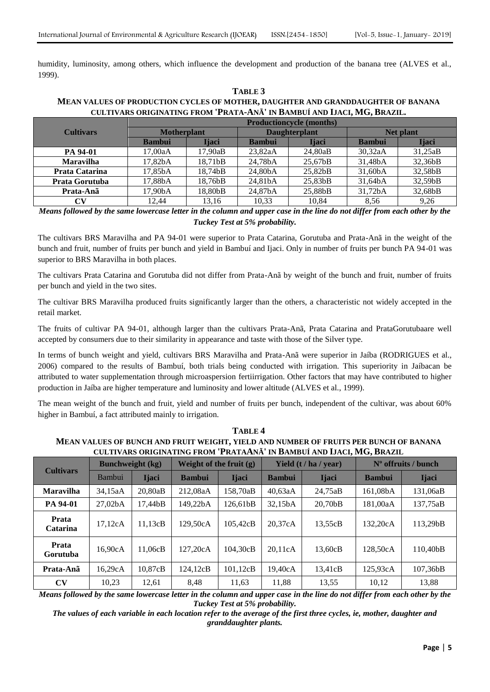humidity, luminosity, among others, which influence the development and production of the banana tree (ALVES et al., 1999).

## **TABLE 3 MEAN VALUES OF PRODUCTION CYCLES OF MOTHER, DAUGHTER AND GRANDDAUGHTER OF BANANA CULTIVARS ORIGINATING FROM 'PRATA-ANÃ' IN BAMBUÍ AND IJACI, MG, BRAZIL.**

|                  | <b>Productioncycle (months)</b> |         |               |                      |                  |              |  |  |
|------------------|---------------------------------|---------|---------------|----------------------|------------------|--------------|--|--|
| <b>Cultivars</b> | <b>Motherplant</b>              |         |               | <b>Daughterplant</b> | <b>Net plant</b> |              |  |  |
|                  | <b>Bambui</b>                   | Iiaci   | <b>Bambui</b> | <b>I</b> iaci        | <b>Bambui</b>    | <b>Ijaci</b> |  |  |
| PA 94-01         | 17.00aA                         | 17,90aB | 23.82aA       | 24,80aB              | 30.32aA          | 31,25aB      |  |  |
| <b>Maravilha</b> | 17.82bA                         | 18.71bB | 24,78bA       | 25.67 <sub>b</sub> B | 31,48bA          | 32,36bB      |  |  |
| Prata Catarina   | 17.85bA                         | 18.74bB | 24.80bA       | 25,82bB              | 31,60bA          | 32,58bB      |  |  |
| Prata Gorutuba   | 17.88bA                         | 18.76bB | 24.81bA       | 25.83 <sub>b</sub> B | 31.64bA          | 32,59bB      |  |  |
| Prata-Anã        | 17.90bA                         | 18.80bB | 24.87bA       | 25.88bB              | 31.72bA          | 32,68bB      |  |  |
| CV               | 12.44                           | 13.16   | 10.33         | 10.84                | 8.56             | 9.26         |  |  |

*Means followed by the same lowercase letter in the column and upper case in the line do not differ from each other by the Tuckey Test at 5% probability.*

The cultivars BRS Maravilha and PA 94-01 were superior to Prata Catarina, Gorutuba and Prata-Anã in the weight of the bunch and fruit, number of fruits per bunch and yield in Bambuí and Ijaci. Only in number of fruits per bunch PA 94-01 was superior to BRS Maravilha in both places.

The cultivars Prata Catarina and Gorutuba did not differ from Prata-Anã by weight of the bunch and fruit, number of fruits per bunch and yield in the two sites.

The cultivar BRS Maravilha produced fruits significantly larger than the others, a characteristic not widely accepted in the retail market.

The fruits of cultivar PA 94-01, although larger than the cultivars Prata-Anã, Prata Catarina and PrataGorutubaare well accepted by consumers due to their similarity in appearance and taste with those of the Silver type.

In terms of bunch weight and yield, cultivars BRS Maravilha and Prata-Anã were superior in Jaíba (RODRIGUES et al., 2006) compared to the results of Bambuí, both trials being conducted with irrigation. This superiority in Jaíbacan be attributed to water supplementation through microaspersion fertiirrigation. Other factors that may have contributed to higher production in Jaíba are higher temperature and luminosity and lower altitude (ALVES et al., 1999).

The mean weight of the bunch and fruit, yield and number of fruits per bunch, independent of the cultivar, was about 60% higher in Bambuí, a fact attributed mainly to irrigation.

| CULTIVARS ORIGINATING FROM 'PRATAANÃ' IN BAMBUÍ AND IJACI, MG, BRAZIL |                         |              |                           |               |                       |              |                       |              |
|-----------------------------------------------------------------------|-------------------------|--------------|---------------------------|---------------|-----------------------|--------------|-----------------------|--------------|
| <b>Cultivars</b>                                                      | <b>Bunchweight</b> (kg) |              | Weight of the fruit $(g)$ |               | Yield (t / ha / year) |              | $No$ offruits / bunch |              |
|                                                                       | Bambui                  | <b>Ijaci</b> | <b>Bambui</b>             | <b>I</b> jaci | <b>Bambui</b>         | <b>Ijaci</b> | <b>Bambui</b>         | <b>Ijaci</b> |
| <b>Maravilha</b>                                                      | 34,15aA                 | 20,80aB      | 212,08aA                  | 158,70aB      | 40,63aA               | 24,75aB      | 161,08bA              | 131,06aB     |
| PA 94-01                                                              | 27,02bA                 | 17.44bB      | 149,22bA                  | 126.61bB      | 32,15bA               | 20,70bB      | 181,00aA              | 137,75aB     |
| Prata<br><b>Catarina</b>                                              | 17,12cA                 | 11.13cB      | 129.50cA                  | 105.42cB      | 20.37cA               | 13,55cB      | 132.20cA              | 113,29bB     |
| Prata<br>Gorutuba                                                     | 16,90cA                 | 11.06cB      | 127.20cA                  | 104.30cB      | 20.11cA               | 13,60cB      | 128.50cA              | 110.40bB     |
| Prata-Anã                                                             | 16,29cA                 | 10.87cB      | 124,12cB                  | 101,12cB      | 19,40cA               | 13,41cB      | 125,93cA              | 107,36bB     |
| $\mathbf{C}\mathbf{V}$                                                | 10.23                   | 12,61        | 8.48                      | 11,63         | 11,88                 | 13,55        | 10.12                 | 13,88        |

**TABLE 4 MEAN VALUES OF BUNCH AND FRUIT WEIGHT, YIELD AND NUMBER OF FRUITS PER BUNCH OF BANANA CULTIVARS ORIGINATING FROM 'PRATAANÃ' IN BAMBUÍ AND IJACI, MG, BRAZIL**

*Means followed by the same lowercase letter in the column and upper case in the line do not differ from each other by the Tuckey Test at 5% probability.*

*The values of each variable in each location refer to the average of the first three cycles, ie, mother, daughter and granddaughter plants.*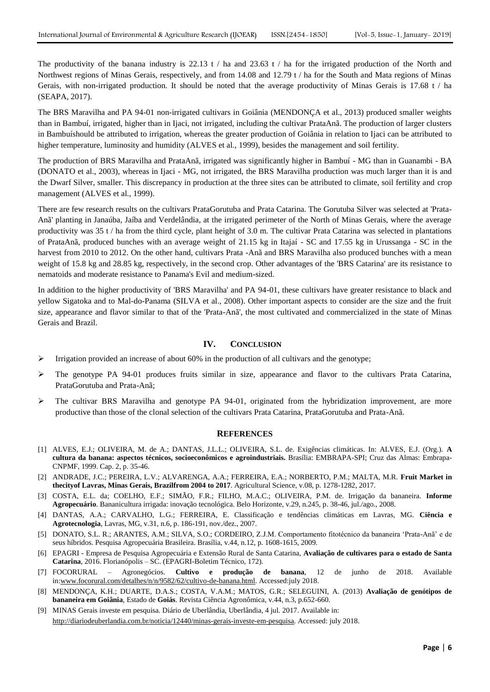The productivity of the banana industry is 22.13 t / ha and 23.63 t / ha for the irrigated production of the North and Northwest regions of Minas Gerais, respectively, and from 14.08 and 12.79 t / ha for the South and Mata regions of Minas Gerais, with non-irrigated production. It should be noted that the average productivity of Minas Gerais is 17.68  $t / ha$ (SEAPA, 2017).

The BRS Maravilha and PA 94-01 non-irrigated cultivars in Goiânia (MENDONÇA et al., 2013) produced smaller weights than in Bambuí, irrigated, higher than in Ijaci, not irrigated, including the cultivar PrataAnã. The production of larger clusters in Bambuíshould be attributed to irrigation, whereas the greater production of Goiânia in relation to Ijaci can be attributed to higher temperature, luminosity and humidity (ALVES et al., 1999), besides the management and soil fertility.

The production of BRS Maravilha and PrataAnã, irrigated was significantly higher in Bambuí - MG than in Guanambi - BA (DONATO et al., 2003), whereas in Ijaci - MG, not irrigated, the BRS Maravilha production was much larger than it is and the Dwarf Silver, smaller. This discrepancy in production at the three sites can be attributed to climate, soil fertility and crop management (ALVES et al., 1999).

There are few research results on the cultivars PrataGorutuba and Prata Catarina. The Gorutuba Silver was selected at 'Prata-Anã' planting in Janaúba, Jaíba and Verdelândia, at the irrigated perimeter of the North of Minas Gerais, where the average productivity was 35 t / ha from the third cycle, plant height of 3.0 m. The cultivar Prata Catarina was selected in plantations of PrataAnã, produced bunches with an average weight of 21.15 kg in Itajaí - SC and 17.55 kg in Urussanga - SC in the harvest from 2010 to 2012. On the other hand, cultivars Prata -Anã and BRS Maravilha also produced bunches with a mean weight of 15.8 kg and 28.85 kg, respectively, in the second crop. Other advantages of the 'BRS Catarina' are its resistance to nematoids and moderate resistance to Panama's Evil and medium-sized.

In addition to the higher productivity of 'BRS Maravilha' and PA 94-01, these cultivars have greater resistance to black and yellow Sigatoka and to Mal-do-Panama (SILVA et al., 2008). Other important aspects to consider are the size and the fruit size, appearance and flavor similar to that of the 'Prata-Anã', the most cultivated and commercialized in the state of Minas Gerais and Brazil.

#### **IV. CONCLUSION**

- $\triangleright$  Irrigation provided an increase of about 60% in the production of all cultivars and the genotype;
- $\triangleright$  The genotype PA 94-01 produces fruits similar in size, appearance and flavor to the cultivars Prata Catarina, PrataGorutuba and Prata-Anã;
- $\triangleright$  The cultivar BRS Maravilha and genotype PA 94-01, originated from the hybridization improvement, are more productive than those of the clonal selection of the cultivars Prata Catarina, PrataGorutuba and Prata-Anã.

#### **REFERENCES**

- [1] ALVES, E.J.; OLIVEIRA, M. de A.; DANTAS, J.L.L.; OLIVEIRA, S.L. de. Exigências climáticas. In: ALVES, E.J. (Org.). **A cultura da banana: aspectos técnicos, socioeconômicos e agroindustriais.** Brasília: EMBRAPA-SPI; Cruz das Almas: Embrapa-CNPMF, 1999. Cap. 2, p. 35-46.
- [2] ANDRADE, J.C.; PEREIRA, L.V.; ALVARENGA, A.A.; FERREIRA, E.A.; NORBERTO, P.M.; MALTA, M.R. **Fruit Market in thecityof Lavras, Minas Gerais, Brazilfrom 2004 to 2017**. Agricultural Science, v.08, p. 1278-1282, 2017.
- [3] COSTA, E.L. da; COELHO, E.F.; SIMÃO, F.R.; FILHO, M.A.C.; OLIVEIRA, P.M. de. Irrigação da bananeira. **Informe Agropecuário**. Bananicultura irrigada: inovação tecnológica. Belo Horizonte, v.29, n.245, p. 38-46, jul./ago., 2008.
- [4] DANTAS, A.A.; CARVALHO, L.G.; FERREIRA, E. Classificação e tendências climáticas em Lavras, MG. **Ciência e Agrotecnologia**, Lavras, MG, v.31, n.6, p. 186-191, nov./dez., 2007.
- [5] DONATO, S.L. R.; ARANTES, A.M.; SILVA, S.O.; CORDEIRO, Z.J.M. Comportamento fitotécnico da bananeira 'Prata-Anã' e de seus híbridos. Pesquisa Agropecuária Brasileira. Brasília, v.44, n.12, p. 1608-1615, 2009.
- [6] EPAGRI Empresa de Pesquisa Agropecuária e Extensão Rural de Santa Catarina, **Avaliação de cultivares para o estado de Santa Catarina**, 2016. Florianópolis – SC. (EPAGRI-Boletim Técnico, 172).
- [7] FOCORURAL Agronegócios. **Cultivo e produção de banana**, 12 de junho de 2018. Available in[:www.focorural.com/detalhes/n/n/9582/62/cultivo-de-banana.html.](http://www.focorural.com/detalhes/n/n/9582/62/cultivo-de-banana.html) Accessed:july 2018.
- [8] MENDONÇA, K.H.; DUARTE, D.A.S.; COSTA, V.A.M.; MATOS, G.R.; SELEGUINI, A. (2013) **Avaliação de genótipos de bananeira em Goiânia**, Estado de **Goiás**. Revista Ciência Agronômica, v.44, n.3, p.652-660.
- [9] MINAS Gerais investe em pesquisa. Diário de Uberlândia, Uberlândia, 4 jul. 2017. Available in: [http://diariodeuberlandia.com.br/noticia/12440/minas-gerais-investe-em-pesquisa.](http://diariodeuberlandia.com.br/noticia/12440/minas-gerais-investe-em-pesquisa) Accessed: july 2018.